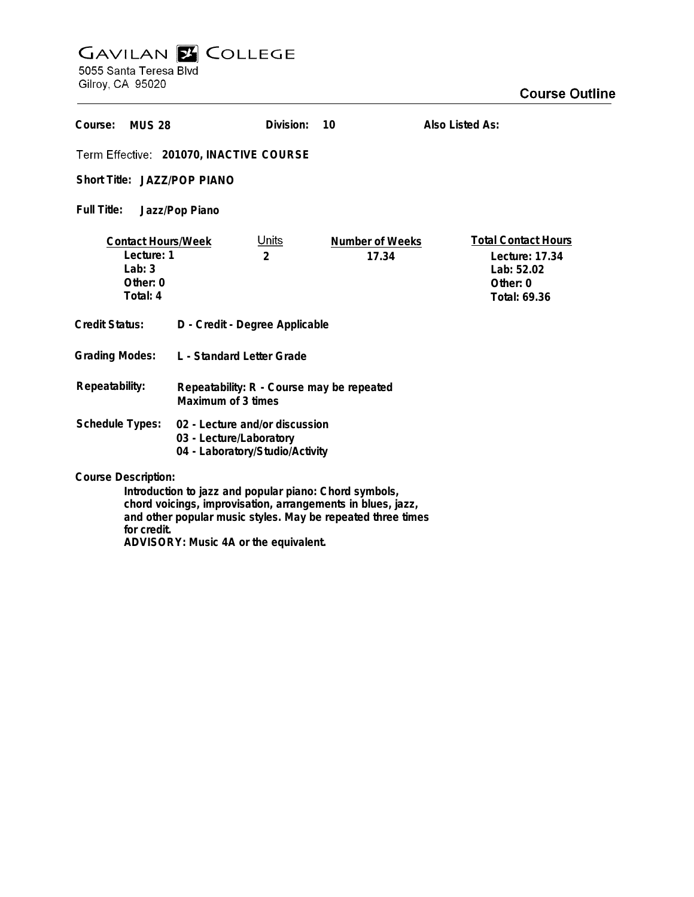## **GAVILAN E COLLEGE**<br>5055 Santa Teresa Blvd

ADVISORY: Music 4A or the equivalent.

Gilroy, CA 95020

| Course:<br><b>MUS 28</b>                                                                                                                                                                                                          |                                                                                              | Division:                      | 10                       | Also Listed As:                                                                        |
|-----------------------------------------------------------------------------------------------------------------------------------------------------------------------------------------------------------------------------------|----------------------------------------------------------------------------------------------|--------------------------------|--------------------------|----------------------------------------------------------------------------------------|
| Term Effective: 201070, INACTIVE COURSE                                                                                                                                                                                           |                                                                                              |                                |                          |                                                                                        |
| Short Title: JAZZ/POP PIANO                                                                                                                                                                                                       |                                                                                              |                                |                          |                                                                                        |
| Full Title:<br>Jazz/Pop Piano                                                                                                                                                                                                     |                                                                                              |                                |                          |                                                                                        |
| <b>Contact Hours/Week</b><br>Lecture: 1<br>Lab: $3$<br>Other: 0<br>Total: 4                                                                                                                                                       |                                                                                              | <u>Units</u><br>$\overline{2}$ | Number of Weeks<br>17.34 | <b>Total Contact Hours</b><br>Lecture: 17.34<br>Lab: 52.02<br>Other: 0<br>Total: 69.36 |
| Credit Status:                                                                                                                                                                                                                    | D - Credit - Degree Applicable                                                               |                                |                          |                                                                                        |
| <b>Grading Modes:</b>                                                                                                                                                                                                             | L - Standard Letter Grade                                                                    |                                |                          |                                                                                        |
| Repeatability:                                                                                                                                                                                                                    | Repeatability: R - Course may be repeated<br>Maximum of 3 times                              |                                |                          |                                                                                        |
| Schedule Types:                                                                                                                                                                                                                   | 02 - Lecture and/or discussion<br>03 - Lecture/Laboratory<br>04 - Laboratory/Studio/Activity |                                |                          |                                                                                        |
| <b>Course Description:</b><br>Introduction to jazz and popular piano: Chord symbols,<br>chord voicings, improvisation, arrangements in blues, jazz,<br>and other popular music styles. May be repeated three times<br>for credit. |                                                                                              |                                |                          |                                                                                        |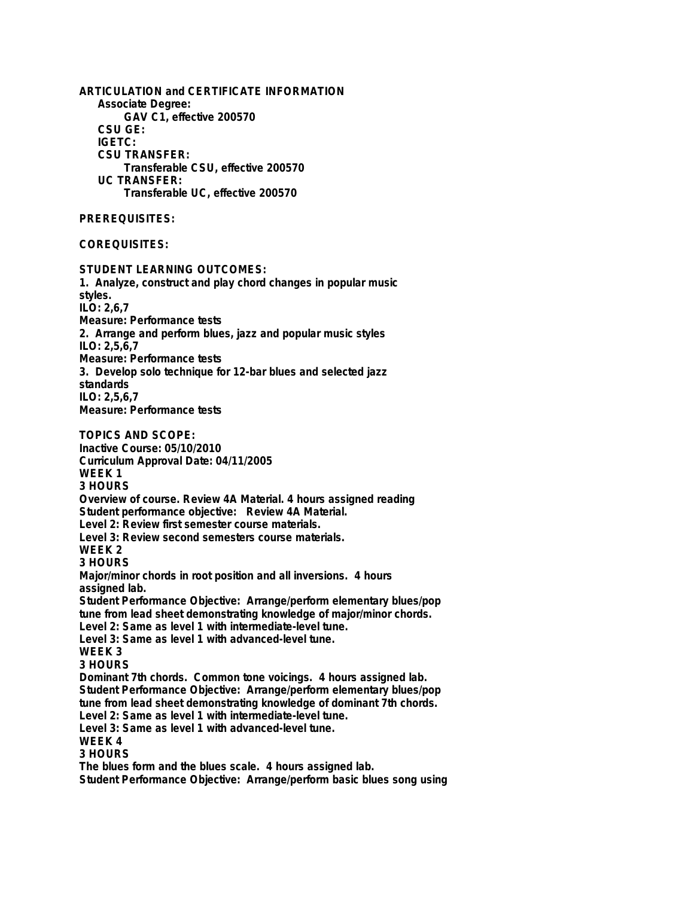**ARTICULATION and CERTIFICATE INFORMATION Associate Degree: GAV C1, effective 200570 CSU GE: IGETC: CSU TRANSFER: Transferable CSU, effective 200570 UC TRANSFER: Transferable UC, effective 200570 PREREQUISITES: COREQUISITES: STUDENT LEARNING OUTCOMES: 1. Analyze, construct and play chord changes in popular music styles. ILO: 2,6,7 Measure: Performance tests 2. Arrange and perform blues, jazz and popular music styles ILO: 2,5,6,7 Measure: Performance tests 3. Develop solo technique for 12-bar blues and selected jazz standards ILO: 2,5,6,7 Measure: Performance tests TOPICS AND SCOPE: Inactive Course: 05/10/2010 Curriculum Approval Date: 04/11/2005 WEEK 1 3 HOURS Overview of course. Review 4A Material. 4 hours assigned reading Student performance objective: Review 4A Material. Level 2: Review first semester course materials. Level 3: Review second semesters course materials. WEEK 2 3 HOURS Major/minor chords in root position and all inversions. 4 hours assigned lab. Student Performance Objective: Arrange/perform elementary blues/pop tune from lead sheet demonstrating knowledge of major/minor chords. Level 2: Same as level 1 with intermediate-level tune. Level 3: Same as level 1 with advanced-level tune. WEEK 3 3 HOURS Dominant 7th chords. Common tone voicings. 4 hours assigned lab. Student Performance Objective: Arrange/perform elementary blues/pop tune from lead sheet demonstrating knowledge of dominant 7th chords. Level 2: Same as level 1 with intermediate-level tune. Level 3: Same as level 1 with advanced-level tune. WEEK 4 3 HOURS The blues form and the blues scale. 4 hours assigned lab. Student Performance Objective: Arrange/perform basic blues song using**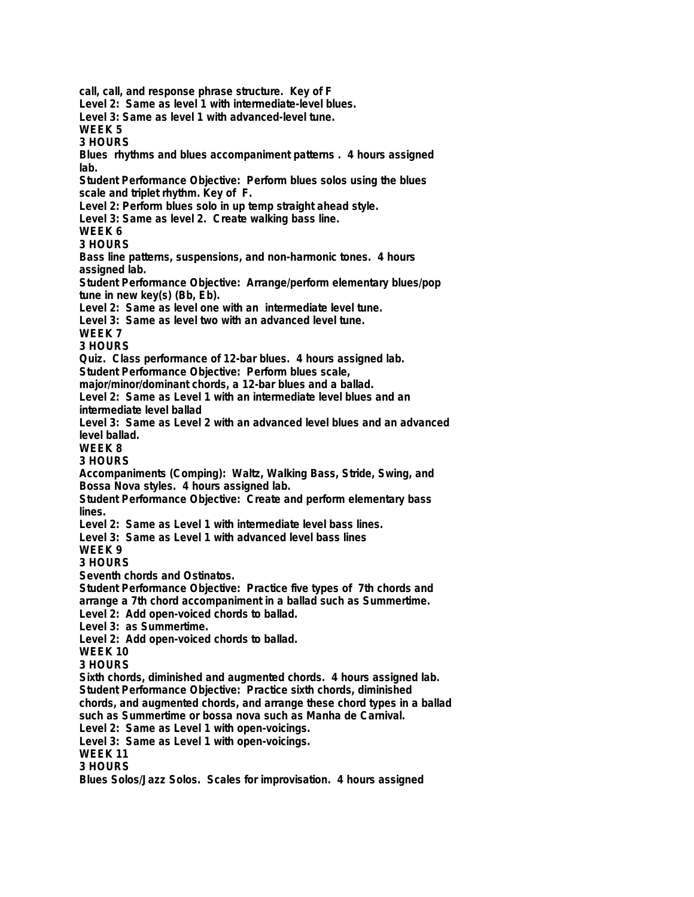**call, call, and response phrase structure. Key of F Level 2: Same as level 1 with intermediate-level blues. Level 3: Same as level 1 with advanced-level tune. WEEK 5 3 HOURS Blues rhythms and blues accompaniment patterns . 4 hours assigned lab. Student Performance Objective: Perform blues solos using the blues scale and triplet rhythm. Key of F. Level 2: Perform blues solo in up temp straight ahead style. Level 3: Same as level 2. Create walking bass line. WEEK 6 3 HOURS Bass line patterns, suspensions, and non-harmonic tones. 4 hours assigned lab. Student Performance Objective: Arrange/perform elementary blues/pop tune in new key(s) (Bb, Eb). Level 2: Same as level one with an intermediate level tune. Level 3: Same as level two with an advanced level tune. WEEK 7 3 HOURS Quiz. Class performance of 12-bar blues. 4 hours assigned lab. Student Performance Objective: Perform blues scale, major/minor/dominant chords, a 12-bar blues and a ballad. Level 2: Same as Level 1 with an intermediate level blues and an intermediate level ballad Level 3: Same as Level 2 with an advanced level blues and an advanced level ballad. WEEK 8 3 HOURS Accompaniments (Comping): Waltz, Walking Bass, Stride, Swing, and Bossa Nova styles. 4 hours assigned lab. Student Performance Objective: Create and perform elementary bass lines. Level 2: Same as Level 1 with intermediate level bass lines. Level 3: Same as Level 1 with advanced level bass lines WEEK 9 3 HOURS Seventh chords and Ostinatos. Student Performance Objective: Practice five types of 7th chords and arrange a 7th chord accompaniment in a ballad such as Summertime. Level 2: Add open-voiced chords to ballad. Level 3: as Summertime. Level 2: Add open-voiced chords to ballad. WEEK 10 3 HOURS Sixth chords, diminished and augmented chords. 4 hours assigned lab. Student Performance Objective: Practice sixth chords, diminished chords, and augmented chords, and arrange these chord types in a ballad such as Summertime or bossa nova such as Manha de Carnival. Level 2: Same as Level 1 with open-voicings. Level 3: Same as Level 1 with open-voicings. WEEK 11 3 HOURS Blues Solos/Jazz Solos. Scales for improvisation. 4 hours assigned**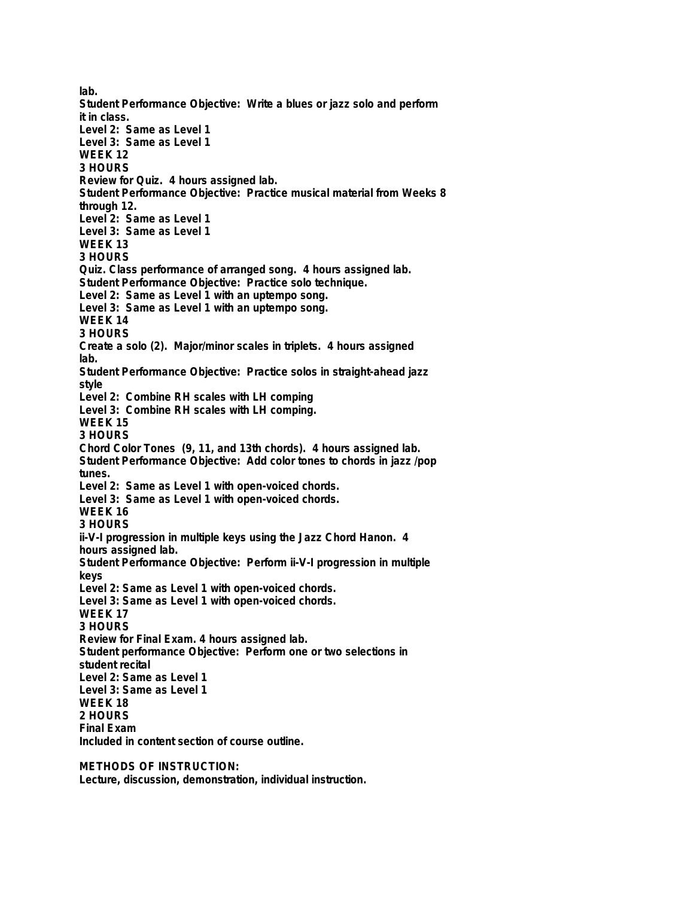**lab. Student Performance Objective: Write a blues or jazz solo and perform it in class. Level 2: Same as Level 1 Level 3: Same as Level 1 WEEK 12 3 HOURS Review for Quiz. 4 hours assigned lab. Student Performance Objective: Practice musical material from Weeks 8 through 12. Level 2: Same as Level 1 Level 3: Same as Level 1 WEEK 13 3 HOURS Quiz. Class performance of arranged song. 4 hours assigned lab. Student Performance Objective: Practice solo technique. Level 2: Same as Level 1 with an uptempo song. Level 3: Same as Level 1 with an uptempo song. WEEK 14 3 HOURS Create a solo (2). Major/minor scales in triplets. 4 hours assigned lab. Student Performance Objective: Practice solos in straight-ahead jazz style Level 2: Combine RH scales with LH comping Level 3: Combine RH scales with LH comping. WEEK 15 3 HOURS Chord Color Tones (9, 11, and 13th chords). 4 hours assigned lab. Student Performance Objective: Add color tones to chords in jazz /pop tunes. Level 2: Same as Level 1 with open-voiced chords. Level 3: Same as Level 1 with open-voiced chords. WEEK 16 3 HOURS ii-V-I progression in multiple keys using the Jazz Chord Hanon. 4 hours assigned lab. Student Performance Objective: Perform ii-V-I progression in multiple keys Level 2: Same as Level 1 with open-voiced chords. Level 3: Same as Level 1 with open-voiced chords. WEEK 17 3 HOURS Review for Final Exam. 4 hours assigned lab. Student performance Objective: Perform one or two selections in student recital Level 2: Same as Level 1 Level 3: Same as Level 1 WEEK 18 2 HOURS Final Exam Included in content section of course outline.**

**METHODS OF INSTRUCTION:**

**Lecture, discussion, demonstration, individual instruction.**